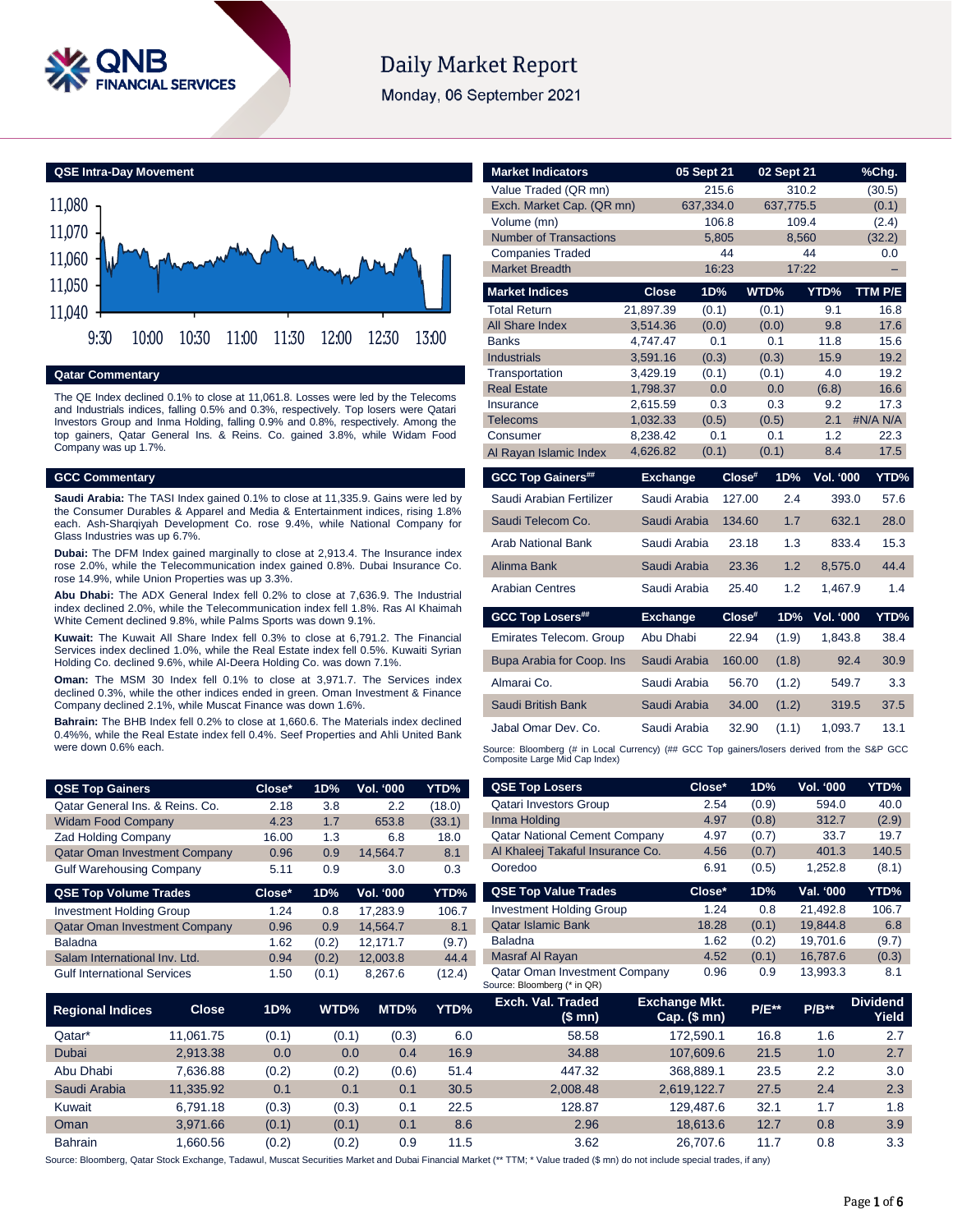

# **Daily Market Report**

Monday, 06 September 2021

**QSE Intra-Day Movement**



**Qatar Commentary**

The QE Index declined 0.1% to close at 11,061.8. Losses were led by the Telecoms and Industrials indices, falling 0.5% and 0.3%, respectively. Top losers were Qatari Investors Group and Inma Holding, falling 0.9% and 0.8%, respectively. Among the top gainers, Qatar General Ins. & Reins. Co. gained 3.8%, while Widam Food Company was up 1.7%.

### **GCC Commentary**

**Saudi Arabia:** The TASI Index gained 0.1% to close at 11,335.9. Gains were led by the Consumer Durables & Apparel and Media & Entertainment indices, rising 1.8% each. Ash-Sharqiyah Development Co. rose 9.4%, while National Company for Glass Industries was up 6.7%.

**Dubai:** The DFM Index gained marginally to close at 2,913.4. The Insurance index rose 2.0%, while the Telecommunication index gained 0.8%. Dubai Insurance Co. rose 14.9%, while Union Properties was up 3.3%.

**Abu Dhabi:** The ADX General Index fell 0.2% to close at 7,636.9. The Industrial index declined 2.0%, while the Telecommunication index fell 1.8%. Ras Al Khaimah White Cement declined 9.8%, while Palms Sports was down 9.1%.

**Kuwait:** The Kuwait All Share Index fell 0.3% to close at 6,791.2. The Financial Services index declined 1.0%, while the Real Estate index fell 0.5%. Kuwaiti Syrian Holding Co. declined 9.6%, while Al-Deera Holding Co. was down 7.1%.

**Oman:** The MSM 30 Index fell 0.1% to close at 3,971.7. The Services index declined 0.3%, while the other indices ended in green. Oman Investment & Finance Company declined 2.1%, while Muscat Finance was down 1.6%.

**Bahrain:** The BHB Index fell 0.2% to close at 1,660.6. The Materials index declined 0.4%%, while the Real Estate index fell 0.4%. Seef Properties and Ahli United Bank were down 0.6% each.

| <b>QSE Top Gainers</b>               | Close* | 1D% | <b>Vol. '000</b> | YTD%   |
|--------------------------------------|--------|-----|------------------|--------|
| Qatar General Ins. & Reins. Co.      | 2.18   | 3.8 | 2.2              | (18.0) |
| <b>Widam Food Company</b>            | 4.23   | 1.7 | 653.8            | (33.1) |
| <b>Zad Holding Company</b>           | 16.00  | 1.3 | 6.8              | 18.0   |
| <b>Qatar Oman Investment Company</b> | 0.96   | 0.9 | 14.564.7         | 8.1    |
| <b>Gulf Warehousing Company</b>      | 5.11   | 0.9 | 3.0              | 0.3    |

| <b>QSE Top Volume Trades</b>         | Close* | 1D%   | <b>Vol. '000</b> | YTD%   |
|--------------------------------------|--------|-------|------------------|--------|
| <b>Investment Holding Group</b>      | 1.24   | 0.8   | 17.283.9         | 106.7  |
| <b>Qatar Oman Investment Company</b> | 0.96   | 0.9   | 14.564.7         | 8.1    |
| <b>Baladna</b>                       | 1.62   | (0.2) | 12.171.7         | (9.7)  |
| Salam International Inv. Ltd.        | 0.94   | (0.2) | 12.003.8         | 44.4   |
| <b>Gulf International Services</b>   | 1.50   | (0.1) | 8.267.6          | (12.4) |

| <b>Market Indicators</b>      |                      | 05 Sept 21   | 02 Sept 21      |                  | %Chg.            |
|-------------------------------|----------------------|--------------|-----------------|------------------|------------------|
| Value Traded (QR mn)          |                      | 215.6        |                 | 310.2            | (30.5)           |
| Exch. Market Cap. (QR mn)     |                      | 637,334.0    | 637,775.5       |                  | (0.1)            |
| Volume (mn)                   |                      | 106.8        |                 | 109.4            | (2.4)            |
| <b>Number of Transactions</b> |                      | 5.805        |                 | 8.560            | (32.2)           |
| <b>Companies Traded</b>       |                      | 44           |                 | 44               | 0.0              |
| <b>Market Breadth</b>         |                      | 16:23        |                 | 17:22            | -                |
| <b>Market Indices</b>         | <b>Close</b>         | 1D%          | WTD%            | YTD%             | TTM P/E          |
| <b>Total Return</b>           | 21,897.39            | (0.1)        | (0.1)           | 9.1              | 16.8             |
| <b>All Share Index</b>        | 3,514.36             | (0.0)        | (0.0)           | 9.8              | 17.6             |
| <b>Banks</b>                  | 4,747.47             | 0.1          | 0.1             | 11.8             | 15.6             |
| <b>Industrials</b>            | 3,591.16             | (0.3)        | (0.3)           | 15.9             | 19.2             |
| Transportation                | 3,429.19             | (0.1)        | (0.1)           | 4.0              | 19.2             |
| <b>Real Estate</b>            | 1,798.37             | 0.0          | 0.0             | (6.8)            | 16.6             |
| Insurance<br>Telecoms         | 2.615.59<br>1,032.33 | 0.3<br>(0.5) | 0.3<br>(0.5)    | 9.2<br>2.1       | 17.3<br>#N/A N/A |
| Consumer                      | 8,238.42             | 0.1          | 0.1             | 1.2              | 22.3             |
| Al Rayan Islamic Index        | 4,626.82             | (0.1)        | (0.1)           | 8.4              | 17.5             |
| <b>GCC Top Gainers##</b>      | <b>Exchange</b>      |              | Close#<br>1D%   | <b>Vol. '000</b> | YTD%             |
|                               |                      |              |                 |                  |                  |
|                               |                      |              |                 |                  |                  |
| Saudi Arabian Fertilizer      | Saudi Arabia         |              | 127.00<br>2.4   | 393.0            | 57.6             |
| Saudi Telecom Co.             | Saudi Arabia         |              | 1.7<br>134.60   | 632.1            | 28.0             |
| Arab National Bank            | Saudi Arabia         |              | 23.18<br>1.3    | 833.4            | 15.3             |
| Alinma Bank                   | Saudi Arabia         |              | 1.2<br>23.36    | 8,575.0          | 44.4             |
| <b>Arabian Centres</b>        | Saudi Arabia         |              | 25.40<br>1.2    | 1,467.9          | 1.4              |
| <b>GCC Top Losers##</b>       | <b>Exchange</b>      |              | Close#<br>1D%   | <b>Vol. '000</b> | YTD%             |
| Emirates Telecom. Group       | Abu Dhabi            |              | 22.94<br>(1.9)  | 1,843.8          | 38.4             |
| Bupa Arabia for Coop. Ins     | Saudi Arabia         |              | 160.00<br>(1.8) | 92.4             | 30.9             |
| Almarai Co.                   | Saudi Arabia         |              | 56.70<br>(1.2)  | 549.7            | 3.3              |
| Saudi British Bank            | Saudi Arabia         |              | 34.00<br>(1.2)  | 319.5            | 37.5             |
| Jabal Omar Dev. Co.           | Saudi Arabia         |              | (1.1)<br>32.90  | 1,093.7          | 13.1             |

| <b>QSE Top Gainers</b>               |              | Close* | 1D%   | Vol. '000 | YTD%   | <b>QSE Top Losers</b>                                               | Close*                                 | 1D%     | Vol. '000 | YTD%                     |
|--------------------------------------|--------------|--------|-------|-----------|--------|---------------------------------------------------------------------|----------------------------------------|---------|-----------|--------------------------|
| Qatar General Ins. & Reins. Co.      |              | 2.18   | 3.8   | 2.2       | (18.0) | <b>Qatari Investors Group</b>                                       | 2.54                                   | (0.9)   | 594.0     | 40.0                     |
| <b>Widam Food Company</b>            |              | 4.23   | 1.7   | 653.8     | (33.1) | Inma Holding                                                        | 4.97                                   | (0.8)   | 312.7     | (2.9)                    |
| Zad Holding Company                  |              | 16.00  | 1.3   | 6.8       | 18.0   | <b>Qatar National Cement Company</b>                                | 4.97                                   | (0.7)   | 33.7      | 19.7                     |
| <b>Qatar Oman Investment Company</b> |              | 0.96   | 0.9   | 14,564.7  | 8.1    | Al Khaleej Takaful Insurance Co.                                    | 4.56                                   | (0.7)   | 401.3     | 140.5                    |
| <b>Gulf Warehousing Company</b>      |              | 5.11   | 0.9   | 3.0       | 0.3    | Ooredoo                                                             | 6.91                                   | (0.5)   | 1,252.8   | (8.1)                    |
| <b>QSE Top Volume Trades</b>         |              | Close* | 1D%   | Vol. '000 | YTD%   | <b>QSE Top Value Trades</b>                                         | Close*                                 | 1D%     | Val. '000 | YTD%                     |
| <b>Investment Holding Group</b>      |              | 1.24   | 0.8   | 17,283.9  | 106.7  | <b>Investment Holding Group</b>                                     | 1.24                                   | 0.8     | 21,492.8  | 106.7                    |
| <b>Qatar Oman Investment Company</b> |              | 0.96   | 0.9   | 14,564.7  | 8.1    | <b>Qatar Islamic Bank</b>                                           | 18.28                                  | (0.1)   | 19,844.8  | 6.8                      |
| Baladna                              |              | 1.62   | (0.2) | 12,171.7  | (9.7)  | <b>Baladna</b>                                                      | 1.62                                   | (0.2)   | 19,701.6  | (9.7)                    |
| Salam International Inv. Ltd.        |              | 0.94   | (0.2) | 12,003.8  | 44.4   | Masraf Al Rayan                                                     | 4.52                                   | (0.1)   | 16,787.6  | (0.3)                    |
| <b>Gulf International Services</b>   |              | 1.50   | (0.1) | 8,267.6   | (12.4) | <b>Qatar Oman Investment Company</b><br>Source: Bloomberg (* in QR) | 0.96                                   | 0.9     | 13,993.3  | 8.1                      |
| <b>Regional Indices</b>              | <b>Close</b> | 1D%    | WTD%  | MTD%      | YTD%   | <b>Exch. Val. Traded</b><br>(\$ mn)                                 | <b>Exchange Mkt.</b><br>$Cap.$ (\$ mn) | $P/E**$ | $P/B**$   | <b>Dividend</b><br>Yield |
| Qatar*                               | 11,061.75    | (0.1)  | (0.1) | (0.3)     | 6.0    | 58.58                                                               | 172,590.1                              | 16.8    | 1.6       | 2.7                      |
| Dubai                                | 2,913.38     | 0.0    | 0.0   | 0.4       | 16.9   | 34.88                                                               | 107,609.6                              | 21.5    | 1.0       | 2.7                      |
| Abu Dhabi                            | 7,636.88     | (0.2)  | (0.2) | (0.6)     | 51.4   | 447.32                                                              | 368,889.1                              | 23.5    | 2.2       | 3.0                      |
| Saudi Arabia                         | 11,335.92    | 0.1    | 0.1   | 0.1       | 30.5   | 2,008.48                                                            | 2,619,122.7                            | 27.5    | 2.4       | 2.3                      |

Source: Bloomberg, Qatar Stock Exchange, Tadawul, Muscat Securities Market and Dubai Financial Market (\*\* TTM; \* Value traded (\$ mn) do not include special trades, if any)

Kuwait 6,791.18 (0.3) (0.3) 0.1 22.5 128.87 129,487.6 32.1 1.7 1.8 Oman 3,971.66 (0.1) (0.1) 0.1 8.6 2.96 18,613.6 12.7 0.8 3.9 Bahrain 1,660.56 (0.2) (0.2) 0.9 11.5 3.62 26,707.6 11.7 0.8 3.3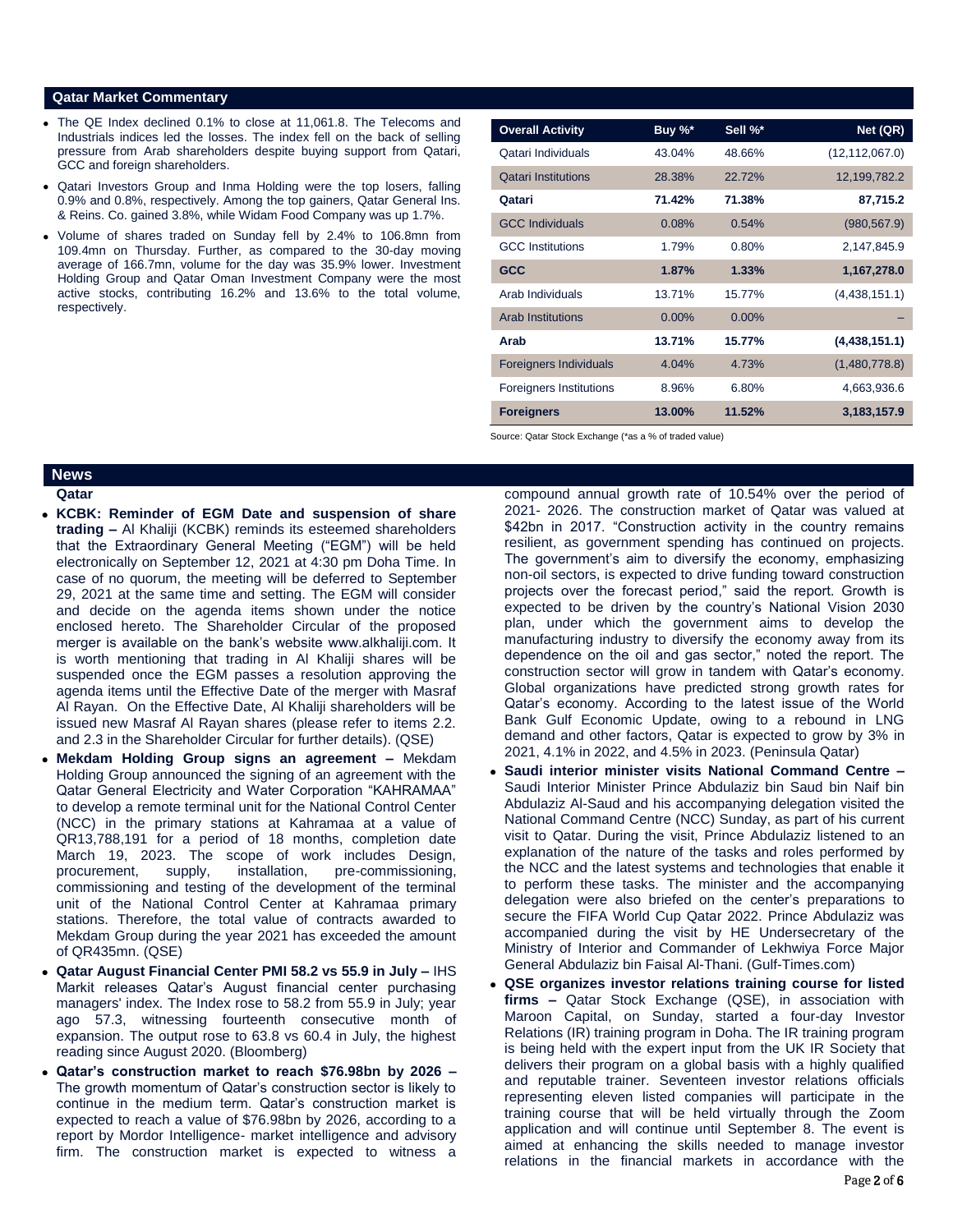### **Qatar Market Commentary**

- The QE Index declined 0.1% to close at 11,061.8. The Telecoms and Industrials indices led the losses. The index fell on the back of selling pressure from Arab shareholders despite buying support from Qatari, GCC and foreign shareholders.
- Qatari Investors Group and Inma Holding were the top losers, falling 0.9% and 0.8%, respectively. Among the top gainers, Qatar General Ins. & Reins. Co. gained 3.8%, while Widam Food Company was up 1.7%.
- Volume of shares traded on Sunday fell by 2.4% to 106.8mn from 109.4mn on Thursday. Further, as compared to the 30-day moving average of 166.7mn, volume for the day was 35.9% lower. Investment Holding Group and Qatar Oman Investment Company were the most active stocks, contributing 16.2% and 13.6% to the total volume, respectively.

| <b>Overall Activity</b>       | Buy %*   | Sell %*  | Net (QR)         |
|-------------------------------|----------|----------|------------------|
| Qatari Individuals            | 43.04%   | 48.66%   | (12, 112, 067.0) |
| <b>Qatari Institutions</b>    | 28.38%   | 22.72%   | 12,199,782.2     |
| Qatari                        | 71.42%   | 71.38%   | 87,715.2         |
| <b>GCC Individuals</b>        | 0.08%    | 0.54%    | (980, 567.9)     |
| <b>GCC</b> Institutions       | 1.79%    | 0.80%    | 2,147,845.9      |
| <b>GCC</b>                    | 1.87%    | 1.33%    | 1,167,278.0      |
| Arab Individuals              | 13.71%   | 15.77%   | (4,438,151.1)    |
| <b>Arab Institutions</b>      | $0.00\%$ | $0.00\%$ |                  |
| Arab                          | 13.71%   | 15.77%   | (4,438,151.1)    |
| <b>Foreigners Individuals</b> | 4.04%    | 4.73%    | (1,480,778.8)    |
| Foreigners Institutions       | 8.96%    | 6.80%    | 4,663,936.6      |
| <b>Foreigners</b>             | 13.00%   | 11.52%   | 3,183,157.9      |

Source: Qatar Stock Exchange (\*as a % of traded value)

## **News**

**Qatar** 

- **KCBK: Reminder of EGM Date and suspension of share trading –** Al Khaliji (KCBK) reminds its esteemed shareholders that the Extraordinary General Meeting ("EGM") will be held electronically on September 12, 2021 at 4:30 pm Doha Time. In case of no quorum, the meeting will be deferred to September 29, 2021 at the same time and setting. The EGM will consider and decide on the agenda items shown under the notice enclosed hereto. The Shareholder Circular of the proposed merger is available on the bank's website www.alkhaliji.com. It is worth mentioning that trading in Al Khaliji shares will be suspended once the EGM passes a resolution approving the agenda items until the Effective Date of the merger with Masraf Al Rayan. On the Effective Date, Al Khaliji shareholders will be issued new Masraf Al Rayan shares (please refer to items 2.2. and 2.3 in the Shareholder Circular for further details). (QSE)
- **Mekdam Holding Group signs an agreement –** Mekdam Holding Group announced the signing of an agreement with the Qatar General Electricity and Water Corporation "KAHRAMAA" to develop a remote terminal unit for the National Control Center (NCC) in the primary stations at Kahramaa at a value of QR13,788,191 for a period of 18 months, completion date March 19, 2023. The scope of work includes Design, procurement, supply, installation, pre-commissioning, commissioning and testing of the development of the terminal unit of the National Control Center at Kahramaa primary stations. Therefore, the total value of contracts awarded to Mekdam Group during the year 2021 has exceeded the amount of QR435mn. (QSE)
- **Qatar August Financial Center PMI 58.2 vs 55.9 in July –** IHS Markit releases Qatar's August financial center purchasing managers' index. The Index rose to 58.2 from 55.9 in July; year ago 57.3, witnessing fourteenth consecutive month of expansion. The output rose to 63.8 vs 60.4 in July, the highest reading since August 2020. (Bloomberg)
- **Qatar's construction market to reach \$76.98bn by 2026 –** The growth momentum of Qatar's construction sector is likely to continue in the medium term. Qatar's construction market is expected to reach a value of \$76.98bn by 2026, according to a report by Mordor Intelligence- market intelligence and advisory firm. The construction market is expected to witness a

compound annual growth rate of 10.54% over the period of 2021- 2026. The construction market of Qatar was valued at \$42bn in 2017. "Construction activity in the country remains resilient, as government spending has continued on projects. The government's aim to diversify the economy, emphasizing non-oil sectors, is expected to drive funding toward construction projects over the forecast period," said the report. Growth is expected to be driven by the country's National Vision 2030 plan, under which the government aims to develop the manufacturing industry to diversify the economy away from its dependence on the oil and gas sector," noted the report. The construction sector will grow in tandem with Qatar's economy. Global organizations have predicted strong growth rates for Qatar's economy. According to the latest issue of the World Bank Gulf Economic Update, owing to a rebound in LNG demand and other factors, Qatar is expected to grow by 3% in 2021, 4.1% in 2022, and 4.5% in 2023. (Peninsula Qatar)

- **Saudi interior minister visits National Command Centre –** Saudi Interior Minister Prince Abdulaziz bin Saud bin Naif bin Abdulaziz Al-Saud and his accompanying delegation visited the National Command Centre (NCC) Sunday, as part of his current visit to Qatar. During the visit, Prince Abdulaziz listened to an explanation of the nature of the tasks and roles performed by the NCC and the latest systems and technologies that enable it to perform these tasks. The minister and the accompanying delegation were also briefed on the center's preparations to secure the FIFA World Cup Qatar 2022. Prince Abdulaziz was accompanied during the visit by HE Undersecretary of the Ministry of Interior and Commander of Lekhwiya Force Major General Abdulaziz bin Faisal Al-Thani. (Gulf-Times.com)
- **QSE organizes investor relations training course for listed firms –** Qatar Stock Exchange (QSE), in association with Maroon Capital, on Sunday, started a four-day Investor Relations (IR) training program in Doha. The IR training program is being held with the expert input from the UK IR Society that delivers their program on a global basis with a highly qualified and reputable trainer. Seventeen investor relations officials representing eleven listed companies will participate in the training course that will be held virtually through the Zoom application and will continue until September 8. The event is aimed at enhancing the skills needed to manage investor relations in the financial markets in accordance with the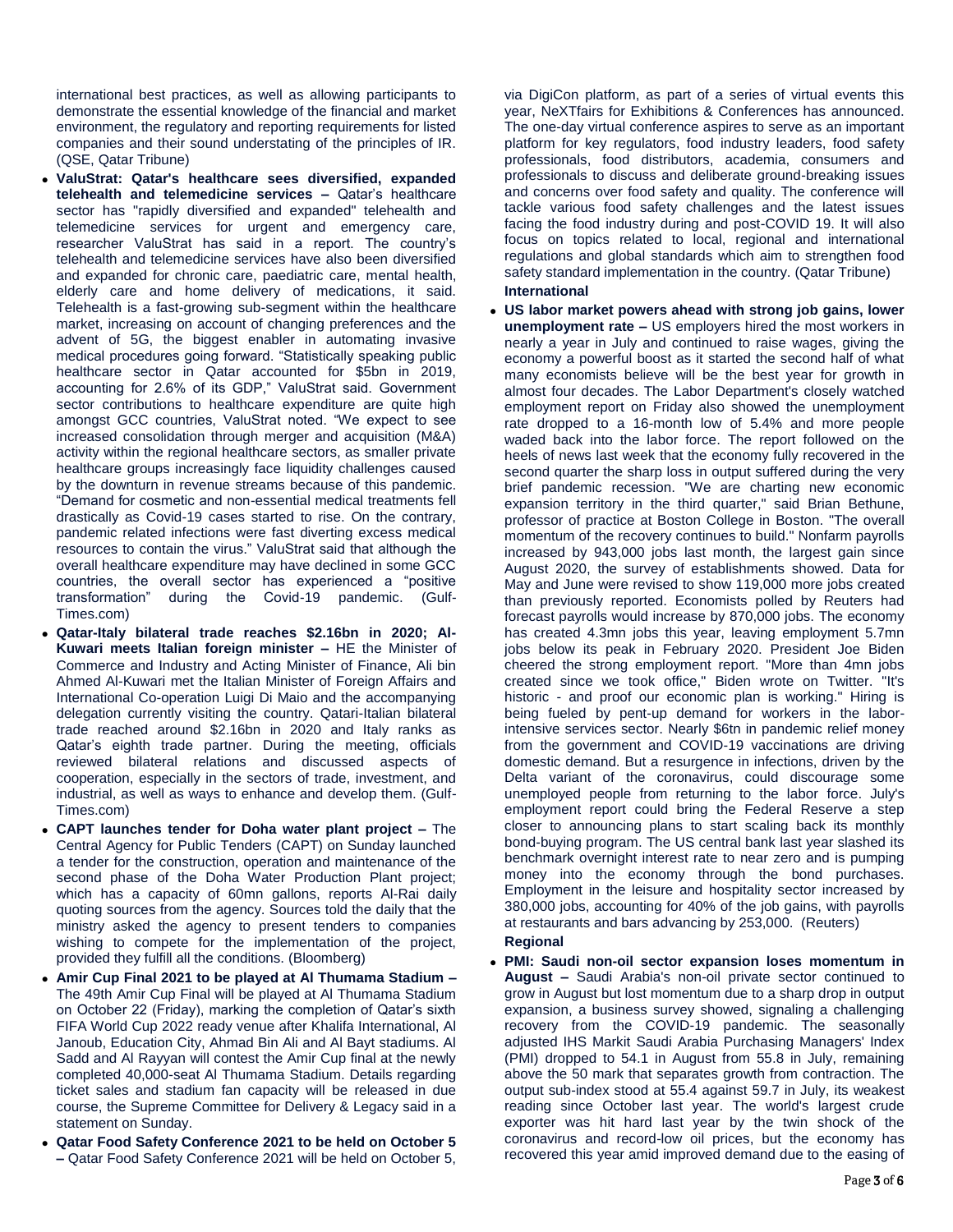international best practices, as well as allowing participants to demonstrate the essential knowledge of the financial and market environment, the regulatory and reporting requirements for listed companies and their sound understating of the principles of IR. (QSE, Qatar Tribune)

- **ValuStrat: Qatar's healthcare sees diversified, expanded telehealth and telemedicine services –** Qatar's healthcare sector has "rapidly diversified and expanded" telehealth and telemedicine services for urgent and emergency care, researcher ValuStrat has said in a report. The country's telehealth and telemedicine services have also been diversified and expanded for chronic care, paediatric care, mental health, elderly care and home delivery of medications, it said. Telehealth is a fast-growing sub-segment within the healthcare market, increasing on account of changing preferences and the advent of 5G, the biggest enabler in automating invasive medical procedures going forward. "Statistically speaking public healthcare sector in Qatar accounted for \$5bn in 2019, accounting for 2.6% of its GDP," ValuStrat said. Government sector contributions to healthcare expenditure are quite high amongst GCC countries, ValuStrat noted. "We expect to see increased consolidation through merger and acquisition (M&A) activity within the regional healthcare sectors, as smaller private healthcare groups increasingly face liquidity challenges caused by the downturn in revenue streams because of this pandemic. "Demand for cosmetic and non-essential medical treatments fell drastically as Covid-19 cases started to rise. On the contrary, pandemic related infections were fast diverting excess medical resources to contain the virus." ValuStrat said that although the overall healthcare expenditure may have declined in some GCC countries, the overall sector has experienced a "positive transformation" during the Covid-19 pandemic. (Gulf-Times.com)
- **Qatar-Italy bilateral trade reaches \$2.16bn in 2020; Al-Kuwari meets Italian foreign minister –** HE the Minister of Commerce and Industry and Acting Minister of Finance, Ali bin Ahmed Al-Kuwari met the Italian Minister of Foreign Affairs and International Co-operation Luigi Di Maio and the accompanying delegation currently visiting the country. Qatari-Italian bilateral trade reached around \$2.16bn in 2020 and Italy ranks as Qatar's eighth trade partner. During the meeting, officials reviewed bilateral relations and discussed aspects of cooperation, especially in the sectors of trade, investment, and industrial, as well as ways to enhance and develop them. (Gulf-Times.com)
- **CAPT launches tender for Doha water plant project –** The Central Agency for Public Tenders (CAPT) on Sunday launched a tender for the construction, operation and maintenance of the second phase of the Doha Water Production Plant project; which has a capacity of 60mn gallons, reports Al-Rai daily quoting sources from the agency. Sources told the daily that the ministry asked the agency to present tenders to companies wishing to compete for the implementation of the project, provided they fulfill all the conditions. (Bloomberg)
- **Amir Cup Final 2021 to be played at Al Thumama Stadium –** The 49th Amir Cup Final will be played at Al Thumama Stadium on October 22 (Friday), marking the completion of Qatar's sixth FIFA World Cup 2022 ready venue after Khalifa International, Al Janoub, Education City, Ahmad Bin Ali and Al Bayt stadiums. Al Sadd and Al Rayyan will contest the Amir Cup final at the newly completed 40,000-seat Al Thumama Stadium. Details regarding ticket sales and stadium fan capacity will be released in due course, the Supreme Committee for Delivery & Legacy said in a statement on Sunday.
- **Qatar Food Safety Conference 2021 to be held on October 5 –** Qatar Food Safety Conference 2021 will be held on October 5,

via DigiCon platform, as part of a series of virtual events this year, NeXTfairs for Exhibitions & Conferences has announced. The one-day virtual conference aspires to serve as an important platform for key regulators, food industry leaders, food safety professionals, food distributors, academia, consumers and professionals to discuss and deliberate ground-breaking issues and concerns over food safety and quality. The conference will tackle various food safety challenges and the latest issues facing the food industry during and post-COVID 19. It will also focus on topics related to local, regional and international regulations and global standards which aim to strengthen food safety standard implementation in the country. (Qatar Tribune) **International**

- **US labor market powers ahead with strong job gains, lower unemployment rate –** US employers hired the most workers in nearly a year in July and continued to raise wages, giving the economy a powerful boost as it started the second half of what many economists believe will be the best year for growth in almost four decades. The Labor Department's closely watched employment report on Friday also showed the unemployment rate dropped to a 16-month low of 5.4% and more people waded back into the labor force. The report followed on the heels of news last week that the economy fully recovered in the second quarter the sharp loss in output suffered during the very brief pandemic recession. "We are charting new economic expansion territory in the third quarter," said Brian Bethune, professor of practice at Boston College in Boston. "The overall momentum of the recovery continues to build." Nonfarm payrolls increased by 943,000 jobs last month, the largest gain since August 2020, the survey of establishments showed. Data for May and June were revised to show 119,000 more jobs created than previously reported. Economists polled by Reuters had forecast payrolls would increase by 870,000 jobs. The economy has created 4.3mn jobs this year, leaving employment 5.7mn jobs below its peak in February 2020. President Joe Biden cheered the strong employment report. "More than 4mn jobs created since we took office," Biden wrote on Twitter. "It's historic - and proof our economic plan is working." Hiring is being fueled by pent-up demand for workers in the laborintensive services sector. Nearly \$6tn in pandemic relief money from the government and COVID-19 vaccinations are driving domestic demand. But a resurgence in infections, driven by the Delta variant of the coronavirus, could discourage some unemployed people from returning to the labor force. July's employment report could bring the Federal Reserve a step closer to announcing plans to start scaling back its monthly bond-buying program. The US central bank last year slashed its benchmark overnight interest rate to near zero and is pumping money into the economy through the bond purchases. Employment in the leisure and hospitality sector increased by 380,000 jobs, accounting for 40% of the job gains, with payrolls at restaurants and bars advancing by 253,000. (Reuters) **Regional**
- **PMI: Saudi non-oil sector expansion loses momentum in August –** Saudi Arabia's non-oil private sector continued to grow in August but lost momentum due to a sharp drop in output expansion, a business survey showed, signaling a challenging recovery from the COVID-19 pandemic. The seasonally adjusted IHS Markit Saudi Arabia Purchasing Managers' Index (PMI) dropped to 54.1 in August from 55.8 in July, remaining above the 50 mark that separates growth from contraction. The output sub-index stood at 55.4 against 59.7 in July, its weakest reading since October last year. The world's largest crude exporter was hit hard last year by the twin shock of the coronavirus and record-low oil prices, but the economy has recovered this year amid improved demand due to the easing of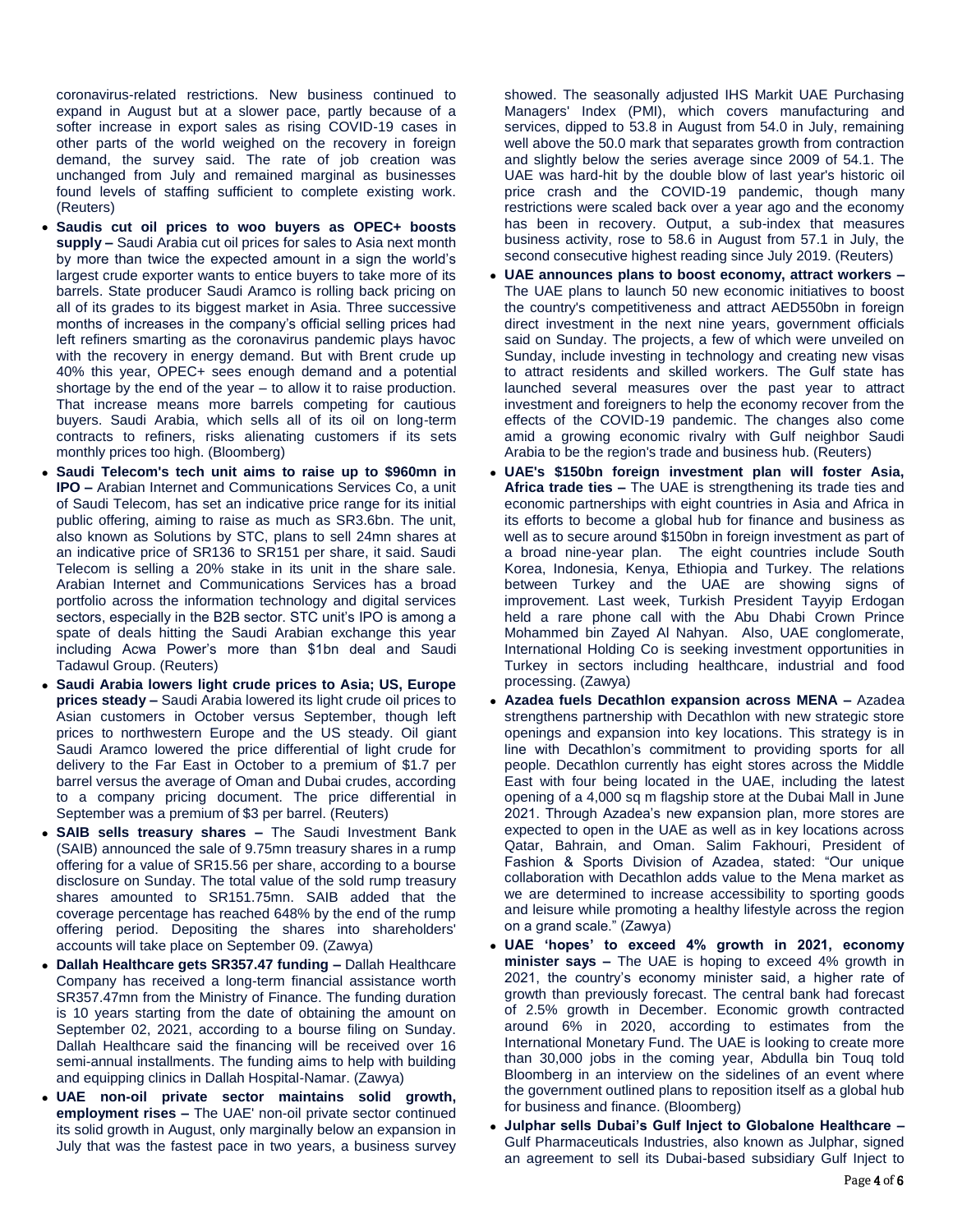coronavirus-related restrictions. New business continued to expand in August but at a slower pace, partly because of a softer increase in export sales as rising COVID-19 cases in other parts of the world weighed on the recovery in foreign demand, the survey said. The rate of job creation was unchanged from July and remained marginal as businesses found levels of staffing sufficient to complete existing work. (Reuters)

- **Saudis cut oil prices to woo buyers as OPEC+ boosts supply –** Saudi Arabia cut oil prices for sales to Asia next month by more than twice the expected amount in a sign the world's largest crude exporter wants to entice buyers to take more of its barrels. State producer Saudi Aramco is rolling back pricing on all of its grades to its biggest market in Asia. Three successive months of increases in the company's official selling prices had left refiners smarting as the coronavirus pandemic plays havoc with the recovery in energy demand. But with Brent crude up 40% this year, OPEC+ sees enough demand and a potential shortage by the end of the year – to allow it to raise production. That increase means more barrels competing for cautious buyers. Saudi Arabia, which sells all of its oil on long-term contracts to refiners, risks alienating customers if its sets monthly prices too high. (Bloomberg)
- **Saudi Telecom's tech unit aims to raise up to \$960mn in IPO –** Arabian Internet and Communications Services Co, a unit of Saudi Telecom, has set an indicative price range for its initial public offering, aiming to raise as much as SR3.6bn. The unit, also known as Solutions by STC, plans to sell 24mn shares at an indicative price of SR136 to SR151 per share, it said. Saudi Telecom is selling a 20% stake in its unit in the share sale. Arabian Internet and Communications Services has a broad portfolio across the information technology and digital services sectors, especially in the B2B sector. STC unit's IPO is among a spate of deals hitting the Saudi Arabian exchange this year including Acwa Power's more than \$1bn deal and Saudi Tadawul Group. (Reuters)
- **Saudi Arabia lowers light crude prices to Asia; US, Europe prices steady –** Saudi Arabia lowered its light crude oil prices to Asian customers in October versus September, though left prices to northwestern Europe and the US steady. Oil giant Saudi Aramco lowered the price differential of light crude for delivery to the Far East in October to a premium of \$1.7 per barrel versus the average of Oman and Dubai crudes, according to a company pricing document. The price differential in September was a premium of \$3 per barrel. (Reuters)
- **SAIB sells treasury shares –** The Saudi Investment Bank (SAIB) announced the sale of 9.75mn treasury shares in a rump offering for a value of SR15.56 per share, according to a bourse disclosure on Sunday. The total value of the sold rump treasury shares amounted to SR151.75mn. SAIB added that the coverage percentage has reached 648% by the end of the rump offering period. Depositing the shares into shareholders' accounts will take place on September 09. (Zawya)
- **Dallah Healthcare gets SR357.47 funding –** Dallah Healthcare Company has received a long-term financial assistance worth SR357.47mn from the Ministry of Finance. The funding duration is 10 years starting from the date of obtaining the amount on September 02, 2021, according to a bourse filing on Sunday. Dallah Healthcare said the financing will be received over 16 semi-annual installments. The funding aims to help with building and equipping clinics in Dallah Hospital-Namar. (Zawya)
- **UAE non-oil private sector maintains solid growth, employment rises –** The UAE' non-oil private sector continued its solid growth in August, only marginally below an expansion in July that was the fastest pace in two years, a business survey

showed. The seasonally adjusted IHS Markit UAE Purchasing Managers' Index (PMI), which covers manufacturing and services, dipped to 53.8 in August from 54.0 in July, remaining well above the 50.0 mark that separates growth from contraction and slightly below the series average since 2009 of 54.1. The UAE was hard-hit by the double blow of last year's historic oil price crash and the COVID-19 pandemic, though many restrictions were scaled back over a year ago and the economy has been in recovery. Output, a sub-index that measures business activity, rose to 58.6 in August from 57.1 in July, the second consecutive highest reading since July 2019. (Reuters)

- **UAE announces plans to boost economy, attract workers –** The UAE plans to launch 50 new economic initiatives to boost the country's competitiveness and attract AED550bn in foreign direct investment in the next nine years, government officials said on Sunday. The projects, a few of which were unveiled on Sunday, include investing in technology and creating new visas to attract residents and skilled workers. The Gulf state has launched several measures over the past year to attract investment and foreigners to help the economy recover from the effects of the COVID-19 pandemic. The changes also come amid a growing economic rivalry with Gulf neighbor Saudi Arabia to be the region's trade and business hub. (Reuters)
- **UAE's \$150bn foreign investment plan will foster Asia, Africa trade ties –** The UAE is strengthening its trade ties and economic partnerships with eight countries in Asia and Africa in its efforts to become a global hub for finance and business as well as to secure around \$150bn in foreign investment as part of a broad nine-year plan. The eight countries include South Korea, Indonesia, Kenya, Ethiopia and Turkey. The relations between Turkey and the UAE are showing signs of improvement. Last week, Turkish President Tayyip Erdogan held a rare phone call with the Abu Dhabi Crown Prince Mohammed bin Zayed Al Nahyan. Also, UAE conglomerate, International Holding Co is seeking investment opportunities in Turkey in sectors including healthcare, industrial and food processing. (Zawya)
- **Azadea fuels Decathlon expansion across MENA –** Azadea strengthens partnership with Decathlon with new strategic store openings and expansion into key locations. This strategy is in line with Decathlon's commitment to providing sports for all people. Decathlon currently has eight stores across the Middle East with four being located in the UAE, including the latest opening of a 4,000 sq m flagship store at the Dubai Mall in June 2021. Through Azadea's new expansion plan, more stores are expected to open in the UAE as well as in key locations across Qatar, Bahrain, and Oman. Salim Fakhouri, President of Fashion & Sports Division of Azadea, stated: "Our unique collaboration with Decathlon adds value to the Mena market as we are determined to increase accessibility to sporting goods and leisure while promoting a healthy lifestyle across the region on a grand scale." (Zawya)
- **UAE 'hopes' to exceed 4% growth in 2021, economy minister says –** The UAE is hoping to exceed 4% growth in 2021, the country's economy minister said, a higher rate of growth than previously forecast. The central bank had forecast of 2.5% growth in December. Economic growth contracted around 6% in 2020, according to estimates from the International Monetary Fund. The UAE is looking to create more than 30,000 jobs in the coming year, Abdulla bin Touq told Bloomberg in an interview on the sidelines of an event where the government outlined plans to reposition itself as a global hub for business and finance. (Bloomberg)
- **Julphar sells Dubai's Gulf Inject to Globalone Healthcare –** Gulf Pharmaceuticals Industries, also known as Julphar, signed an agreement to sell its Dubai-based subsidiary Gulf Inject to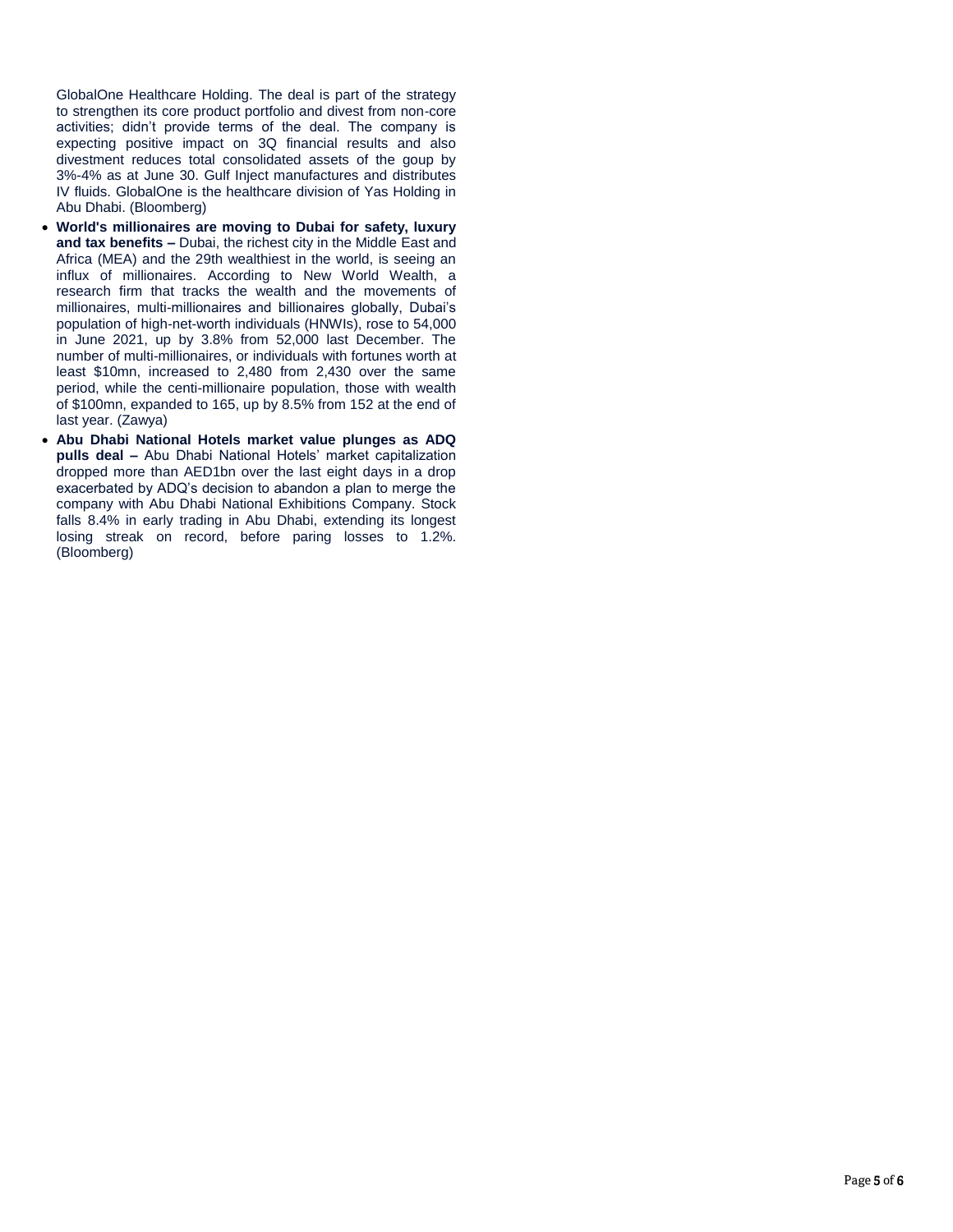GlobalOne Healthcare Holding. The deal is part of the strategy to strengthen its core product portfolio and divest from non-core activities; didn't provide terms of the deal. The company is expecting positive impact on 3Q financial results and also divestment reduces total consolidated assets of the goup by 3%-4% as at June 30. Gulf Inject manufactures and distributes IV fluids. GlobalOne is the healthcare division of Yas Holding in Abu Dhabi. (Bloomberg)

- **World's millionaires are moving to Dubai for safety, luxury and tax benefits –** Dubai, the richest city in the Middle East and Africa (MEA) and the 29th wealthiest in the world, is seeing an influx of millionaires. According to New World Wealth, a research firm that tracks the wealth and the movements of millionaires, multi-millionaires and billionaires globally, Dubai's population of high-net-worth individuals (HNWIs), rose to 54,000 in June 2021, up by 3.8% from 52,000 last December. The number of multi-millionaires, or individuals with fortunes worth at least \$10mn, increased to 2,480 from 2,430 over the same period, while the centi-millionaire population, those with wealth of \$100mn, expanded to 165, up by 8.5% from 152 at the end of last year. (Zawya)
- **Abu Dhabi National Hotels market value plunges as ADQ pulls deal –** Abu Dhabi National Hotels' market capitalization dropped more than AED1bn over the last eight days in a drop exacerbated by ADQ's decision to abandon a plan to merge the company with Abu Dhabi National Exhibitions Company. Stock falls 8.4% in early trading in Abu Dhabi, extending its longest losing streak on record, before paring losses to 1.2%. (Bloomberg)